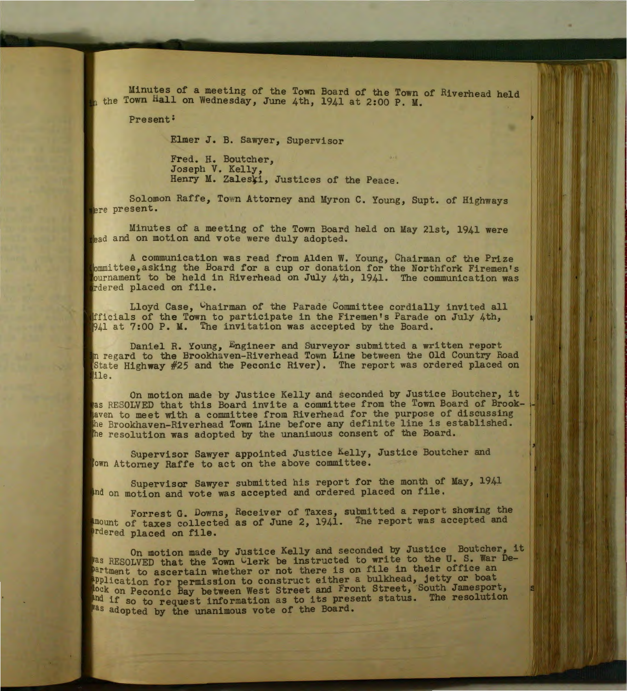Minutes of a meeting of the Town Board of the Town of Riverhead held  $_{n}$  the Town Hall on Wednesday, June 4th, 1941 at 2:00 P. M.

•

,

Present:

Elmer J. B. Sawyer, Supervisor

Fred. H. Boutcher, Joseph V. Kelly, Henry M. Zaleski, Justices of the Peace.

Solomon Raffe, Town Attorney and Myron C. Young, Supt. of Highways ere present.

Minutes of a meeting of the Town Board held on May 21st, 1941 were the ad and on motion and vote were duly adopted.

A communication was read from Alden W. Young, Chairman of the Prize ttee, asking the Board for a cup or donation for the Northfork Firemen's ournament to be held in Riverhead on July 4th, 1941. The communication was rdered placed on file.

Lloyd Case, Chairman of the Parade Committee cordially invited all fficials of the Town to participate in the Firemen's Parade on July 4th, 941 at 7:00 P. M. The invitation was accepted by the Board.

Daniel R. Young, Engineer and Surveyor submitted a written report In regard to the Brookhaven-Riverhead Town Line between the Old Country Road State Highway #25 and the Peconic River). The report was ordered placed on ile.

On motion made by Justice Kelly and seconded by Justice Boutcher, it as RESOLVED that this Board invite a committee from the Town Board of Brookaven to meet with a committee from Riverhead for the purpose of discussing he Brookhaven-Riverhead Town Line before any definite line is established. the resolution was adopted by the unanimous consent of the Board.

Supervisor Sawyer appointed Justice Kelly, Justice Boutcher and Attorney Raffe to act on the above committee.

Supervisor Sawyer submitted his report for the month of May, 1941 and on motion and vote was accepted and ordered placed on file.

Forrest G. Downs, Receiver of Taxes, submitted a report showing the amount of taxes collected as of June 2, 1941. The report was accepted and Prdered placed on file.

On motion made by Justice Kelly and seconded by Justice Boutcher, it was RESOLVED that the Town Clerk be instructed to write to the U.S. War Department to ascertain whether or not there is on file in their office an application for permission to construct either a bulkhead, jetty or boat on Peconic Bay between West Street and Front Street, South Jamesport, and if so to request information as to its present status. The resolution Mas adopted by the unanimous vote of the Board.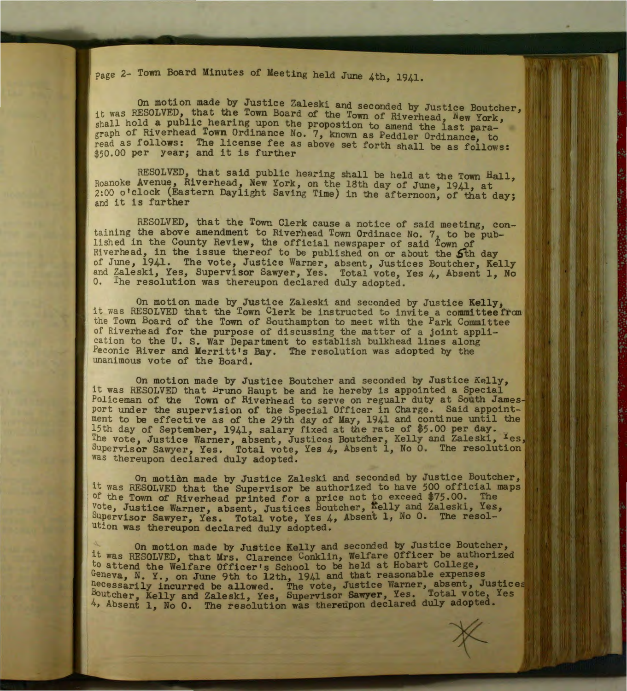Page 2- Town Board Minutes of Meeting held June 4th, 1941.

On motion made by Justice Zaleski and seconded by Justice Boutcher, it was RESOLVED, that the Town Board of the Town of Riverhead, New York, shall hold a public hearing upon the propostion to amend the last paragraph of Riverhead Town Ordinance No. 7, known as Peddler Ordinance, to read as follows: The license fee as above set forth shall be as follows: \$50.00 per year; and it is further

RESOLVED, that said public hearing shall be held at the Town Hall, Roanoke Avenue, Riverhead, New York, on the 18th day of June, 1941, at 2:00 o'clock (Eastern Daylight Saving Time) in the afternoon, of that day;<br>and it is further

RESOLVED, that the Town Clerk cause a notice of said meeting, containing the above amendment to Riverhead Town Ordinace No. 7, to be pub-<br>lished in the County Review, the official newspaper of said  $\frac{1}{2}$ own of Riverhead, in the issue thereof to be published on or about the 5th day of June, 1941. The vote, Justice Warner, absent, Justices Boutcher, Kelly and Zaleski, Yes, Supervisor Sawyer, Yes. Total vote, Yes 4, Absent 1, No <sup>1</sup>0. *lhe* resolution was thereupon declared duly adopted.

On motion made by Justice Zaleski and seconded by Justice Kelly,<br>it was RESOLVED that the Town Clerk be instructed to invite a committee from the Town Board of the Town of Southampton to meet with the Park Committee cation to the U.S. War Department to establish bulkhead lines along<br>Peconic River and Merritt's Ray. The resolution was adopted by the of Riverhead for the purpose of discussing the matter of a joint appli-Peconic River and Merritt's Bay. The resolution was adopted by the unanimous vote of the Board.

On motion made by Justice Boutcher and seconded by Justice Kelly, it was RESOLVED that bruno Haupt be and he hereby is appointed a Special Policeman of the Town of Riverhead to serve on regualr duty at South Jamesport under the supervision of the Special Officer in Charge. Said appointment to be effective as of the 29th day of May, 1941 and continue until the 15th day of September, 1941, salary fixed at the rate of \$5.00 per day. The vote, Justice Warner, absent, Justices Boutcher, Kelly and Zaleski, Ies Supervisor Sawyer, Yes. Total vote, Yes  $4$ , Absent 1, No 0. The resolution was thereupon declared duly adopted.

On motion made by Justice Zaleski and seconded by Justice Boutcher, It was RESOLVED that the Supervisor be authorized to have 500 official maps of the Town of Riverhead printed for a price not to exceed \$75.00. The vote, Justice Warner, absent, Justices Boutcher, Kelly and Zaleski, Yes, Supervisor Sawyer, Yes. Total vote, Yes  $4$ , Absent 1, No 0. The resolution was thereupon declared duly adopted.

On motion made by Justice Kelly and seconded by Justice Boutcher, it was RESOLVED, that Mrs. Clarence Conklin, Welfare Officer be authorized to attend the Welfare Officer's School to be held at Hobart College, Geneva, N. Y., on June 9th to 12th, 1941 and that reasonable expenses necessarily incurred be allowed. The vote, Justice Warner, absent, Justice Boutcher, Kelly and Zaleski, Yes, Supervisor **Sawyer,** Yes. Total vote, Yes 4, Absent 1, No 0. The resolution was thereupon declared duly adopted.